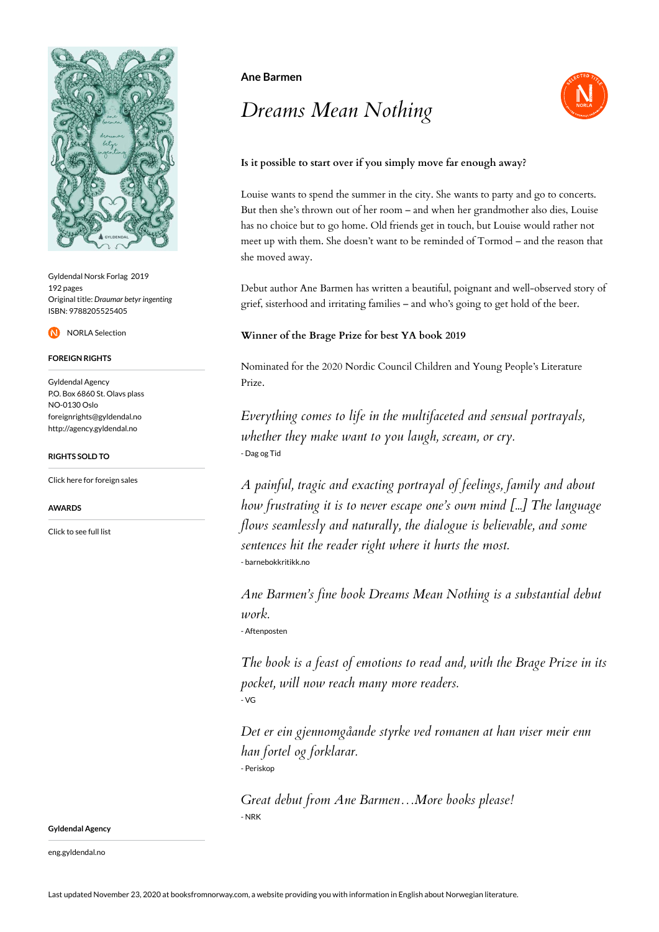

Gyldendal Norsk Forlag 2019 192 pages Original title: *Draumar betyr ingenting* ISBN: 9788205525405

NORLA Selection

### **FOREIGN RIGHTS**

Gyldendal Agency P.O. Box 6860 St. Olavs plass NO-0130 Oslo foreignrights@gyldendal.no http://agency.gyldendal.no

### **RIGHTS SOLD TO**

[Click here for foreign sales](https://agency.gyldendal.no/authors/barmen-ane/a-576862-en/)

#### **AWARDS**

[Click to see full list](https://agency.gyldendal.no/authors/barmen-ane/a-576862-en/)

### **Ane Barmen**

# *Dreams Mean Nothing*



## **Is it possible to start over if you simply move far enough away?**

Louise wants to spend the summer in the city. She wants to party and go to concerts. But then she's thrown out of her room – and when her grandmother also dies, Louise has no choice but to go home. Old friends get in touch, but Louise would rather not meet up with them. She doesn't want to be reminded of Tormod – and the reason that she moved away.

Debut author Ane Barmen has written a beautiful, poignant and well-observed story of grief, sisterhood and irritating families – and who's going to get hold of the beer.

### **Winner of the Brage Prize for best YA book 2019**

Nominated for the 2020 Nordic Council Children and Young People's Literature Prize.

*Everything comes to life in the multifaceted and sensual portrayals, whether they make want to you laugh, scream, or cry.* - Dag og Tid

*A painful, tragic and exacting portrayal of feelings, family and about how frustrating it is to never escape one's own mind [...] The language flows seamlessly and naturally, the dialogue is believable, and some sentences hit the reader right where it hurts the most.* - barnebokkritikk.no

*Ane Barmen's fine book Dreams Mean Nothing is a substantial debut work.*

- Aftenposten

*The book is a feast of emotions to read and, with the Brage Prize in its pocket, will now reach many more readers.* - VG

*Det er ein gjennomgåande styrke ved romanen at han viser meir enn han fortel og forklarar.* - Periskop

*Great debut from Ane Barmen…More books please!* - NRK

**Gyldendal Agency**

eng.gyldendal.no